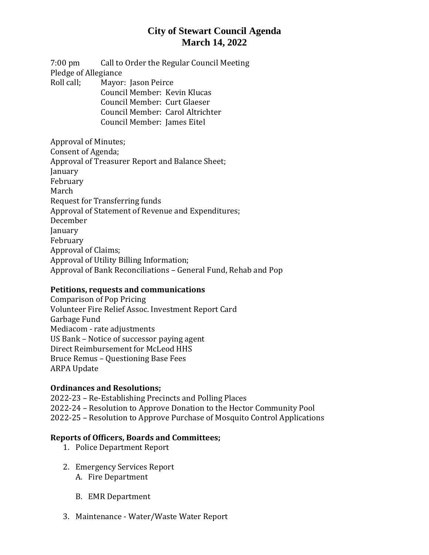## **City of Stewart Council Agenda March 14, 2022**

7:00 pm Call to Order the Regular Council Meeting Pledge of Allegiance Roll call; Mayor: Jason Peirce Council Member: Kevin Klucas Council Member: Curt Glaeser Council Member: Carol Altrichter Council Member: James Eitel

Approval of Minutes; Consent of Agenda; Approval of Treasurer Report and Balance Sheet; January February March Request for Transferring funds Approval of Statement of Revenue and Expenditures; December January February Approval of Claims; Approval of Utility Billing Information; Approval of Bank Reconciliations – General Fund, Rehab and Pop

### **Petitions, requests and communications**

Comparison of Pop Pricing Volunteer Fire Relief Assoc. Investment Report Card Garbage Fund Mediacom - rate adjustments US Bank – Notice of successor paying agent Direct Reimbursement for McLeod HHS Bruce Remus – Questioning Base Fees ARPA Update

## **Ordinances and Resolutions;**

2022-23 – Re-Establishing Precincts and Polling Places 2022-24 – Resolution to Approve Donation to the Hector Community Pool 2022-25 – Resolution to Approve Purchase of Mosquito Control Applications

### **Reports of Officers, Boards and Committees;**

- 1. Police Department Report
- 2. Emergency Services Report
	- A. Fire Department
	- B. EMR Department
- 3. Maintenance Water/Waste Water Report